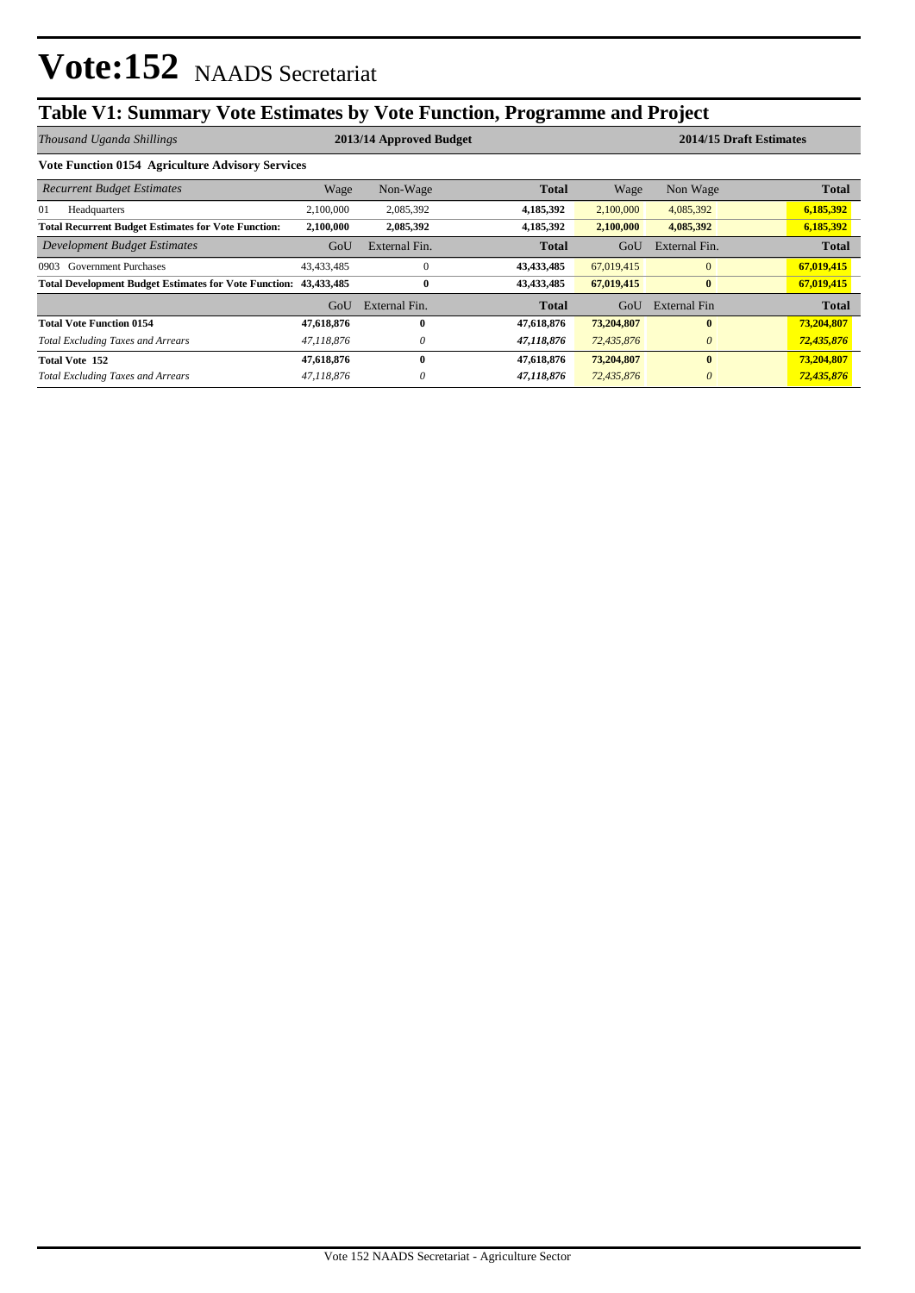## **Table V1: Summary Vote Estimates by Vote Function, Programme and Project**

| Thousand Uganda Shillings                                               | 2013/14 Approved Budget |               |              |            | 2014/15 Draft Estimates |              |  |
|-------------------------------------------------------------------------|-------------------------|---------------|--------------|------------|-------------------------|--------------|--|
| <b>Vote Function 0154 Agriculture Advisory Services</b>                 |                         |               |              |            |                         |              |  |
| <b>Recurrent Budget Estimates</b>                                       | Wage                    | Non-Wage      | <b>Total</b> | Wage       | Non Wage                | <b>Total</b> |  |
| 01<br>Headquarters                                                      | 2,100,000               | 2,085,392     | 4,185,392    | 2,100,000  | 4,085,392               | 6,185,392    |  |
| <b>Total Recurrent Budget Estimates for Vote Function:</b>              | 2,100,000               | 2,085,392     | 4,185,392    | 2,100,000  | 4,085,392               | 6,185,392    |  |
| Development Budget Estimates                                            | GoU                     | External Fin. | <b>Total</b> | GoU        | External Fin.           | <b>Total</b> |  |
| <b>Government Purchases</b><br>0903                                     | 43,433,485              | $\Omega$      | 43,433,485   | 67,019,415 | $\mathbf{0}$            | 67,019,415   |  |
| <b>Total Development Budget Estimates for Vote Function: 43,433,485</b> |                         | 0             | 43,433,485   | 67,019,415 | $\bf{0}$                | 67,019,415   |  |
|                                                                         | GoU                     | External Fin. | Total        | GoU        | External Fin            | <b>Total</b> |  |
| <b>Total Vote Function 0154</b>                                         | 47,618,876              | 0             | 47,618,876   | 73,204,807 | $\bf{0}$                | 73,204,807   |  |
| <b>Total Excluding Taxes and Arrears</b>                                | 47,118,876              | 0             | 47,118,876   | 72,435,876 | $\theta$                | 72,435,876   |  |
| <b>Total Vote 152</b>                                                   | 47,618,876              | 0             | 47,618,876   | 73,204,807 | $\mathbf{0}$            | 73,204,807   |  |
| <b>Total Excluding Taxes and Arrears</b>                                | 47,118,876              | 0             | 47,118,876   | 72,435,876 | $\theta$                | 72,435,876   |  |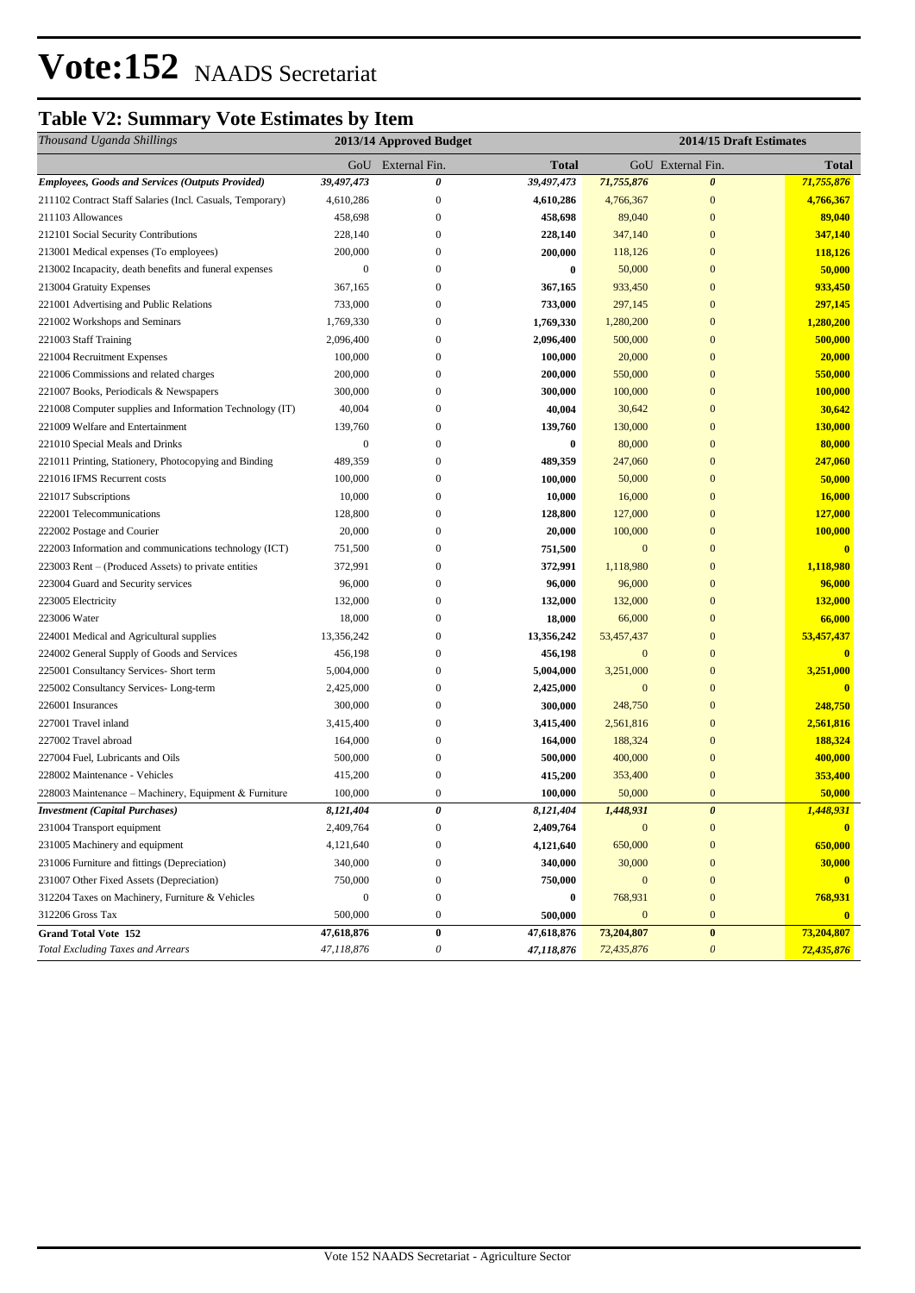### **Table V2: Summary Vote Estimates by Item**

| Thousand Uganda Shillings                                         | 2013/14 Approved Budget |                            |                        | 2014/15 Draft Estimates |                                   |                         |
|-------------------------------------------------------------------|-------------------------|----------------------------|------------------------|-------------------------|-----------------------------------|-------------------------|
|                                                                   |                         | GoU External Fin.          | <b>Total</b>           |                         | GoU External Fin.                 | <b>Total</b>            |
| Employees, Goods and Services (Outputs Provided)                  | 39,497,473              | 0                          | 39,497,473             | 71,755,876              | 0                                 | 71,755,876              |
| 211102 Contract Staff Salaries (Incl. Casuals, Temporary)         | 4,610,286               | $\boldsymbol{0}$           | 4,610,286              | 4,766,367               | $\mathbf{0}$                      | 4,766,367               |
| 211103 Allowances                                                 | 458,698                 | $\boldsymbol{0}$           | 458,698                | 89,040                  | $\mathbf{0}$                      | 89,040                  |
| 212101 Social Security Contributions                              | 228,140                 | $\boldsymbol{0}$           | 228,140                | 347,140                 | $\mathbf{0}$                      | 347,140                 |
| 213001 Medical expenses (To employees)                            | 200,000                 | $\mathbf{0}$               | 200,000                | 118,126                 | $\mathbf{0}$                      | 118,126                 |
| 213002 Incapacity, death benefits and funeral expenses            | $\mathbf{0}$            | $\boldsymbol{0}$           | $\bf{0}$               | 50,000                  | $\mathbf{0}$                      | 50,000                  |
| 213004 Gratuity Expenses                                          | 367,165                 | 0                          | 367,165                | 933,450                 | $\mathbf{0}$                      | 933,450                 |
| 221001 Advertising and Public Relations                           | 733,000                 | 0                          | 733,000                | 297,145                 | $\mathbf{0}$                      | 297,145                 |
| 221002 Workshops and Seminars                                     | 1,769,330               | 0                          | 1,769,330              | 1,280,200               | $\mathbf{0}$                      | 1,280,200               |
| 221003 Staff Training                                             | 2,096,400               | $\overline{0}$             | 2,096,400              | 500,000                 | $\overline{0}$                    | 500,000                 |
| 221004 Recruitment Expenses                                       | 100,000                 | $\boldsymbol{0}$           | 100,000                | 20,000                  | $\mathbf{0}$                      | 20,000                  |
| 221006 Commissions and related charges                            | 200,000                 | $\boldsymbol{0}$           | 200,000                | 550,000                 | $\mathbf{0}$                      | 550,000                 |
| 221007 Books, Periodicals & Newspapers                            | 300,000                 | $\boldsymbol{0}$           | 300,000                | 100,000                 | $\mathbf{0}$                      | 100,000                 |
| 221008 Computer supplies and Information Technology (IT)          | 40,004                  | $\mathbf{0}$               | 40,004                 | 30,642                  | $\mathbf{0}$                      | 30,642                  |
| 221009 Welfare and Entertainment                                  | 139,760                 | $\boldsymbol{0}$           | 139,760                | 130,000                 | $\mathbf{0}$                      | 130,000                 |
| 221010 Special Meals and Drinks                                   | $\mathbf{0}$            | $\boldsymbol{0}$           | $\bf{0}$               | 80,000                  | $\mathbf{0}$                      | 80,000                  |
| 221011 Printing, Stationery, Photocopying and Binding             | 489,359                 | 0                          | 489,359                | 247,060                 | $\mathbf{0}$                      | 247,060                 |
| 221016 IFMS Recurrent costs                                       | 100,000                 | 0                          | 100,000                | 50,000                  | $\mathbf{0}$                      | 50,000                  |
| 221017 Subscriptions                                              | 10,000                  | $\boldsymbol{0}$           | 10,000                 | 16,000                  | $\mathbf{0}$                      | 16,000                  |
| 222001 Telecommunications                                         | 128,800                 | 0                          | 128,800                | 127,000                 | $\mathbf{0}$                      | 127,000                 |
| 222002 Postage and Courier                                        | 20,000                  | $\mathbf{0}$               | 20,000                 | 100,000                 | $\mathbf{0}$                      | 100,000                 |
| 222003 Information and communications technology (ICT)            | 751,500                 | $\mathbf{0}$               | 751,500                | $\mathbf{0}$            | $\overline{0}$                    | $\mathbf{0}$            |
| 223003 Rent – (Produced Assets) to private entities               | 372,991                 | $\boldsymbol{0}$           | 372,991                | 1,118,980               | $\mathbf{0}$                      | 1,118,980               |
| 223004 Guard and Security services                                | 96,000                  | $\mathbf{0}$               | 96,000                 | 96,000                  | $\mathbf{0}$                      | 96,000                  |
| 223005 Electricity                                                | 132,000                 | $\boldsymbol{0}$           | 132,000                | 132,000                 | $\mathbf{0}$                      | 132,000                 |
| 223006 Water                                                      | 18,000                  | 0                          | 18,000                 | 66,000                  | $\mathbf{0}$                      | 66,000                  |
| 224001 Medical and Agricultural supplies                          | 13,356,242              | 0                          | 13,356,242             | 53,457,437              | $\mathbf{0}$                      | 53,457,437              |
| 224002 General Supply of Goods and Services                       | 456,198                 | $\overline{0}$             | 456,198                | $\mathbf{0}$            | $\mathbf{0}$                      |                         |
| 225001 Consultancy Services- Short term                           | 5,004,000               | $\overline{0}$             | 5,004,000              | 3,251,000               | $\overline{0}$                    | 3,251,000               |
| 225002 Consultancy Services-Long-term                             | 2,425,000               | $\boldsymbol{0}$           | 2,425,000              | $\mathbf{0}$            | $\mathbf{0}$                      |                         |
| 226001 Insurances                                                 | 300,000                 | $\mathbf{0}$               | 300,000                | 248,750                 | $\overline{0}$                    | 248,750                 |
| 227001 Travel inland                                              | 3,415,400               | $\mathbf{0}$               | 3,415,400              | 2,561,816               | $\mathbf{0}$                      | 2,561,816               |
| 227002 Travel abroad                                              | 164,000                 | $\mathbf{0}$               | 164,000                | 188,324                 | $\mathbf{0}$                      | 188,324                 |
| 227004 Fuel, Lubricants and Oils<br>228002 Maintenance - Vehicles | 500,000                 | $\boldsymbol{0}$           | 500,000                | 400,000                 | $\mathbf{0}$<br>$\overline{0}$    | 400,000                 |
|                                                                   | 415,200                 | $\boldsymbol{0}$           | 415,200                | 353,400                 |                                   | 353,400                 |
| 228003 Maintenance - Machinery, Equipment & Furniture             | 100,000<br>8,121,404    | 0<br>$\boldsymbol{\theta}$ | 100,000<br>8,121,404   | 50,000<br>1,448,931     | $\bf{0}$<br>$\boldsymbol{\theta}$ | 50,000<br>1,448,931     |
| <b>Investment</b> (Capital Purchases)                             |                         | $\boldsymbol{0}$           |                        | $\mathbf{0}$            | $\boldsymbol{0}$                  |                         |
| 231004 Transport equipment<br>231005 Machinery and equipment      | 2,409,764<br>4,121,640  | $\boldsymbol{0}$           | 2,409,764<br>4,121,640 | 650,000                 | $\mathbf{0}$                      | $\mathbf{0}$<br>650,000 |
| 231006 Furniture and fittings (Depreciation)                      | 340,000                 | $\boldsymbol{0}$           | 340,000                | 30,000                  | $\bf{0}$                          | 30,000                  |
| 231007 Other Fixed Assets (Depreciation)                          | 750,000                 | $\boldsymbol{0}$           | 750,000                | $\boldsymbol{0}$        | $\boldsymbol{0}$                  | $\mathbf{0}$            |
| 312204 Taxes on Machinery, Furniture & Vehicles                   | $\boldsymbol{0}$        | $\boldsymbol{0}$           | $\bf{0}$               | 768,931                 | $\boldsymbol{0}$                  | 768,931                 |
| 312206 Gross Tax                                                  | 500,000                 | $\boldsymbol{0}$           | 500,000                | $\mathbf{0}$            | $\boldsymbol{0}$                  | $\bf{0}$                |
| <b>Grand Total Vote 152</b>                                       | 47,618,876              | $\bf{0}$                   | 47,618,876             | 73,204,807              | $\bf{0}$                          | 73,204,807              |
| <b>Total Excluding Taxes and Arrears</b>                          | 47,118,876              | $\boldsymbol{\mathit{0}}$  | 47,118,876             | 72,435,876              | $\boldsymbol{\mathit{0}}$         | 72,435,876              |
|                                                                   |                         |                            |                        |                         |                                   |                         |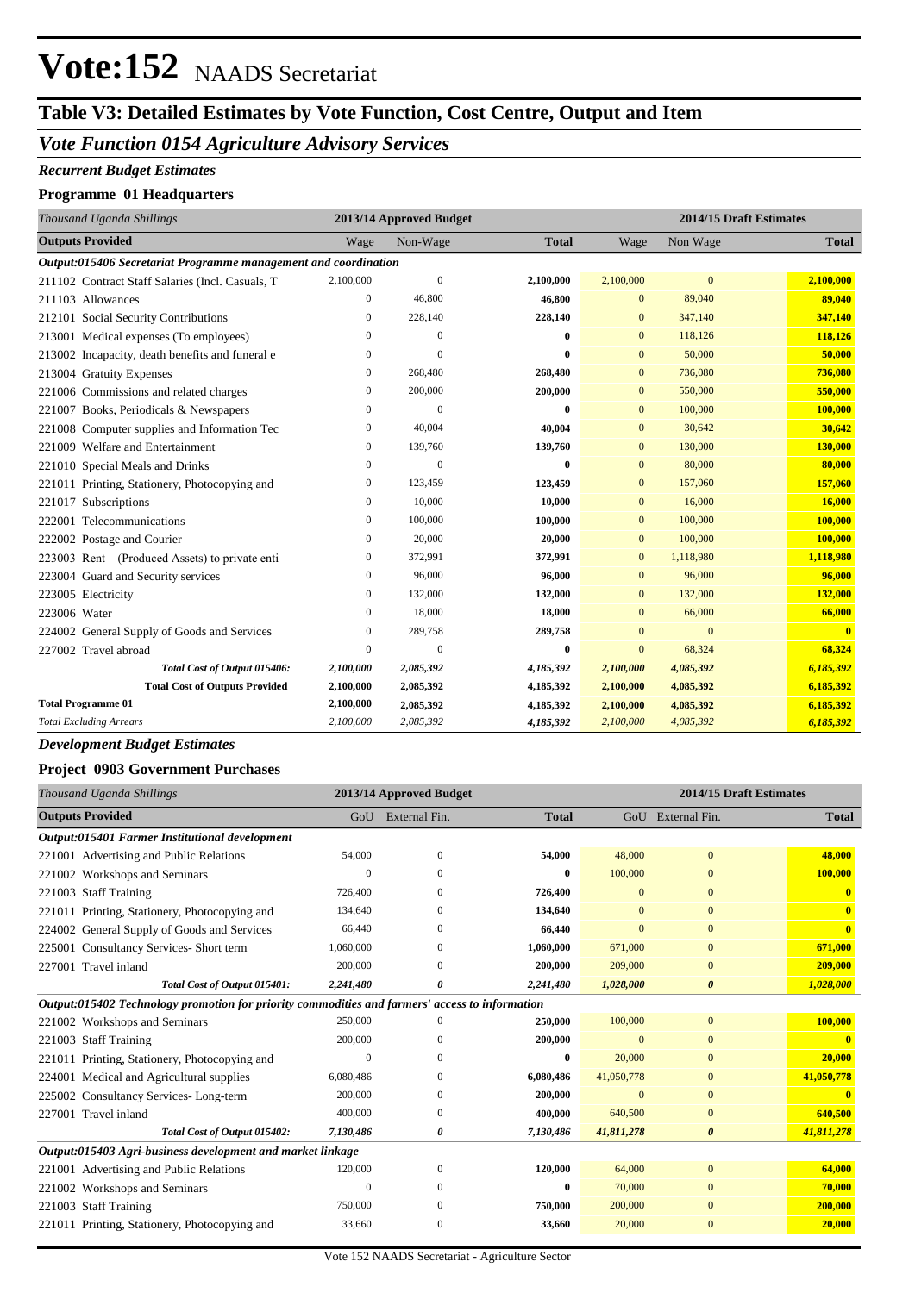# Vote:152 NAADS Secretariat

### **Table V3: Detailed Estimates by Vote Function, Cost Centre, Output and Item**

### *Vote Function 0154 Agriculture Advisory Services*

#### *Recurrent Budget Estimates*

#### **Programme 01 Headquarters**

| Thousand Uganda Shillings                                       |                  | 2013/14 Approved Budget | 2014/15 Draft Estimates |              |                |              |  |  |
|-----------------------------------------------------------------|------------------|-------------------------|-------------------------|--------------|----------------|--------------|--|--|
| <b>Outputs Provided</b>                                         | Wage             | Non-Wage                | <b>Total</b>            | Wage         | Non Wage       | <b>Total</b> |  |  |
| Output:015406 Secretariat Programme management and coordination |                  |                         |                         |              |                |              |  |  |
| 211102 Contract Staff Salaries (Incl. Casuals, T                | 2,100,000        | $\overline{0}$          | 2,100,000               | 2,100,000    | $\mathbf{0}$   | 2,100,000    |  |  |
| 211103 Allowances                                               | $\overline{0}$   | 46,800                  | 46,800                  | $\mathbf{0}$ | 89,040         | 89,040       |  |  |
| 212101 Social Security Contributions                            | $\mathbf{0}$     | 228,140                 | 228,140                 | $\mathbf{0}$ | 347,140        | 347,140      |  |  |
| 213001 Medical expenses (To employees)                          | $\mathbf{0}$     | $\theta$                | $\bf{0}$                | $\mathbf{0}$ | 118,126        | 118,126      |  |  |
| 213002 Incapacity, death benefits and funeral e                 | $\boldsymbol{0}$ | $\overline{0}$          | $\bf{0}$                | $\mathbf{0}$ | 50,000         | 50,000       |  |  |
| 213004 Gratuity Expenses                                        | $\mathbf{0}$     | 268,480                 | 268,480                 | $\mathbf{0}$ | 736,080        | 736,080      |  |  |
| 221006 Commissions and related charges                          | $\mathbf{0}$     | 200,000                 | 200,000                 | $\mathbf{0}$ | 550,000        | 550,000      |  |  |
| 221007 Books, Periodicals & Newspapers                          | $\boldsymbol{0}$ | $\theta$                | $\bf{0}$                | $\mathbf{0}$ | 100,000        | 100,000      |  |  |
| 221008 Computer supplies and Information Tec                    | $\boldsymbol{0}$ | 40,004                  | 40,004                  | $\mathbf{0}$ | 30,642         | 30,642       |  |  |
| 221009 Welfare and Entertainment                                | $\mathbf{0}$     | 139,760                 | 139,760                 | $\mathbf{0}$ | 130,000        | 130,000      |  |  |
| 221010 Special Meals and Drinks                                 | $\mathbf{0}$     | $\overline{0}$          | $\bf{0}$                | $\mathbf{0}$ | 80,000         | 80,000       |  |  |
| 221011 Printing, Stationery, Photocopying and                   | $\boldsymbol{0}$ | 123,459                 | 123,459                 | $\mathbf{0}$ | 157,060        | 157,060      |  |  |
| 221017 Subscriptions                                            | $\mathbf{0}$     | 10,000                  | 10,000                  | $\mathbf{0}$ | 16,000         | 16,000       |  |  |
| Telecommunications<br>222001                                    | $\overline{0}$   | 100,000                 | 100,000                 | $\mathbf{0}$ | 100,000        | 100,000      |  |  |
| 222002 Postage and Courier                                      | $\mathbf{0}$     | 20,000                  | 20,000                  | $\mathbf{0}$ | 100,000        | 100,000      |  |  |
| 223003 Rent – (Produced Assets) to private enti                 | $\boldsymbol{0}$ | 372,991                 | 372,991                 | $\mathbf{0}$ | 1,118,980      | 1,118,980    |  |  |
| 223004 Guard and Security services                              | $\mathbf{0}$     | 96,000                  | 96,000                  | $\mathbf{0}$ | 96,000         | 96,000       |  |  |
| 223005 Electricity                                              | $\boldsymbol{0}$ | 132,000                 | 132,000                 | $\mathbf{0}$ | 132,000        | 132,000      |  |  |
| 223006 Water                                                    | $\mathbf{0}$     | 18,000                  | 18,000                  | $\mathbf{0}$ | 66,000         | 66,000       |  |  |
| 224002 General Supply of Goods and Services                     | $\mathbf{0}$     | 289,758                 | 289,758                 | $\mathbf{0}$ | $\overline{0}$ | $\mathbf{0}$ |  |  |
| 227002 Travel abroad                                            | $\mathbf{0}$     | $\overline{0}$          | $\bf{0}$                | $\mathbf{0}$ | 68,324         | 68,324       |  |  |
| Total Cost of Output 015406:                                    | 2,100,000        | 2,085,392               | 4,185,392               | 2,100,000    | 4,085,392      | 6,185,392    |  |  |
| <b>Total Cost of Outputs Provided</b>                           | 2,100,000        | 2,085,392               | 4,185,392               | 2,100,000    | 4,085,392      | 6,185,392    |  |  |
| <b>Total Programme 01</b>                                       | 2,100,000        | 2,085,392               | 4,185,392               | 2,100,000    | 4,085,392      | 6,185,392    |  |  |
| <b>Total Excluding Arrears</b>                                  | 2,100,000        | 2,085,392               | 4,185,392               | 2,100,000    | 4,085,392      | 6,185,392    |  |  |

#### *Development Budget Estimates*

#### **Project 0903 Government Purchases**

| Thousand Uganda Shillings                                                                      | 2013/14 Approved Budget |               |              | 2014/15 Draft Estimates |                       |              |
|------------------------------------------------------------------------------------------------|-------------------------|---------------|--------------|-------------------------|-----------------------|--------------|
| <b>Outputs Provided</b>                                                                        | GoU                     | External Fin. | <b>Total</b> |                         | GoU External Fin.     | <b>Total</b> |
| Output:015401 Farmer Institutional development                                                 |                         |               |              |                         |                       |              |
| 221001 Advertising and Public Relations                                                        | 54,000                  | $\Omega$      | 54,000       | 48,000                  | $\mathbf{0}$          | 48,000       |
| 221002 Workshops and Seminars                                                                  | $\Omega$                | $\Omega$      | $\mathbf{0}$ | 100,000                 | $\Omega$              | 100,000      |
| 221003 Staff Training                                                                          | 726,400                 | $\Omega$      | 726,400      | $\mathbf{0}$            | $\Omega$              | $\mathbf{0}$ |
| 221011 Printing, Stationery, Photocopying and                                                  | 134,640                 | $\Omega$      | 134,640      | $\mathbf{0}$            | $\mathbf{0}$          | $\mathbf{0}$ |
| 224002 General Supply of Goods and Services                                                    | 66,440                  | $\Omega$      | 66,440       | $\mathbf{0}$            | $\Omega$              | $\mathbf{0}$ |
| 225001 Consultancy Services- Short term                                                        | 1,060,000               | $\Omega$      | 1,060,000    | 671,000                 | $\Omega$              | 671,000      |
| 227001 Travel inland                                                                           | 200,000                 | $\Omega$      | 200,000      | 209,000                 | $\Omega$              | 209,000      |
| Total Cost of Output 015401:                                                                   | 2,241,480               | 0             | 2,241,480    | 1,028,000               | $\boldsymbol{\theta}$ | 1,028,000    |
| Output:015402 Technology promotion for priority commodities and farmers' access to information |                         |               |              |                         |                       |              |
| 221002 Workshops and Seminars                                                                  | 250,000                 | $\Omega$      | 250,000      | 100,000                 | $\overline{0}$        | 100,000      |
| 221003 Staff Training                                                                          | 200,000                 | O             | 200,000      | $\Omega$                | $\Omega$              | $\mathbf{0}$ |
| 221011 Printing, Stationery, Photocopying and                                                  | $\Omega$                | $\Omega$      | $\bf{0}$     | 20,000                  | $\Omega$              | 20,000       |
| 224001 Medical and Agricultural supplies                                                       | 6,080,486               | $\Omega$      | 6,080,486    | 41,050,778              | $\Omega$              | 41,050,778   |
| 225002 Consultancy Services-Long-term                                                          | 200,000                 | $\mathbf{0}$  | 200,000      | $\overline{0}$          | $\mathbf{0}$          |              |
| 227001 Travel inland                                                                           | 400,000                 | $\Omega$      | 400,000      | 640,500                 | $\overline{0}$        | 640,500      |
| Total Cost of Output 015402:                                                                   | 7,130,486               | 0             | 7,130,486    | 41,811,278              | $\boldsymbol{\theta}$ | 41,811,278   |
| Output:015403 Agri-business development and market linkage                                     |                         |               |              |                         |                       |              |
| 221001 Advertising and Public Relations                                                        | 120,000                 | $\Omega$      | 120,000      | 64,000                  | $\mathbf{0}$          | 64,000       |
| 221002 Workshops and Seminars                                                                  | $\Omega$                | $\Omega$      | $\bf{0}$     | 70,000                  | $\Omega$              | 70,000       |
| 221003 Staff Training                                                                          | 750,000                 | $\Omega$      | 750,000      | 200,000                 | $\mathbf{0}$          | 200,000      |
| 221011 Printing, Stationery, Photocopying and                                                  | 33,660                  | $\mathbf{0}$  | 33,660       | 20,000                  | $\overline{0}$        | 20,000       |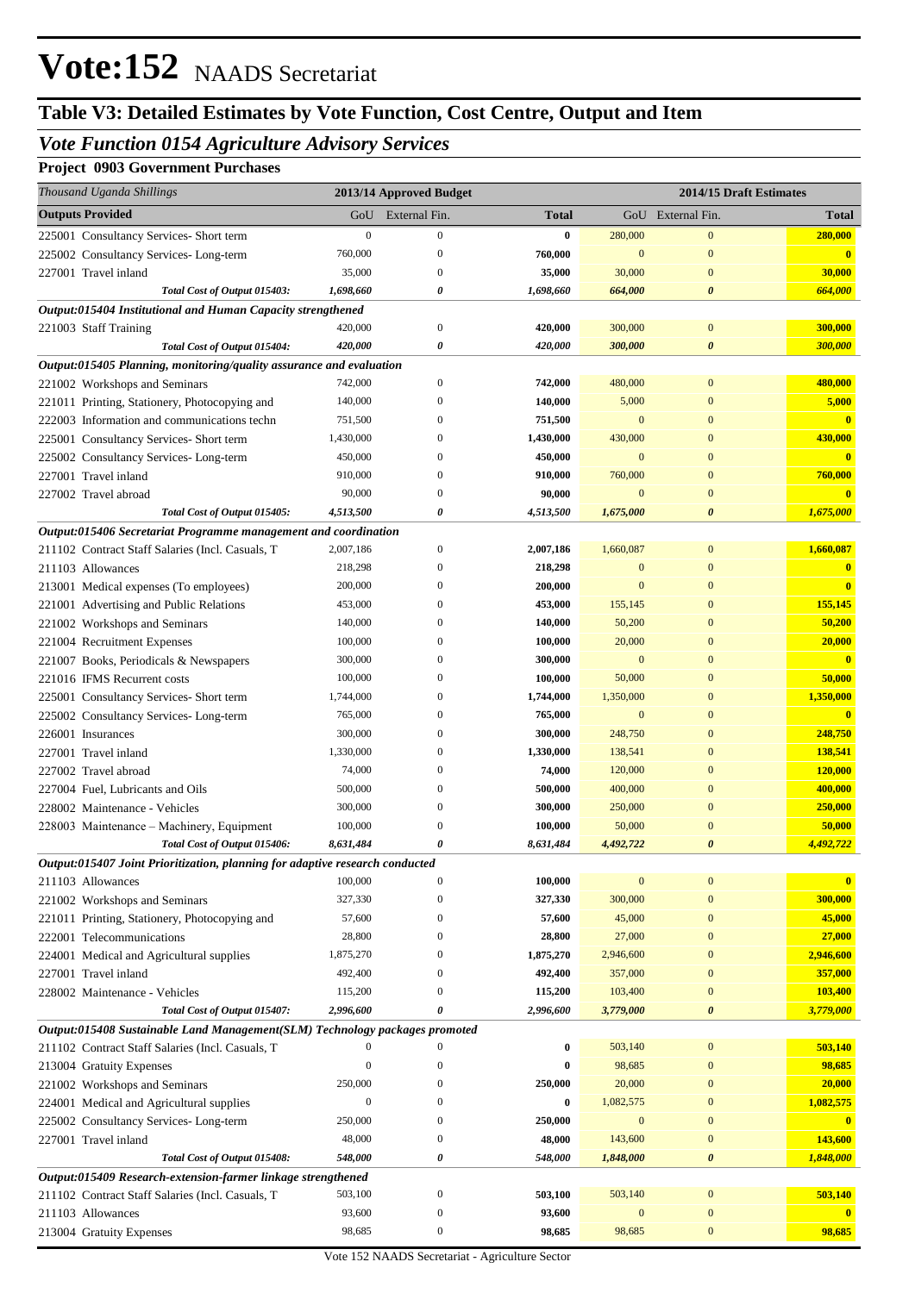### **Table V3: Detailed Estimates by Vote Function, Cost Centre, Output and Item**

### *Vote Function 0154 Agriculture Advisory Services*

**Project 0903 Government Purchases**

| Thousand Uganda Shillings                                                    |                    | 2013/14 Approved Budget          |                    |                           | 2014/15 Draft Estimates          |                           |
|------------------------------------------------------------------------------|--------------------|----------------------------------|--------------------|---------------------------|----------------------------------|---------------------------|
| <b>Outputs Provided</b>                                                      | GoU                | External Fin.                    | <b>Total</b>       |                           | GoU External Fin.                | <b>Total</b>              |
| 225001 Consultancy Services- Short term                                      | $\boldsymbol{0}$   | $\boldsymbol{0}$                 | $\bf{0}$           | 280,000                   | $\mathbf{0}$                     | 280,000                   |
| 225002 Consultancy Services-Long-term                                        | 760,000            | $\mathbf{0}$                     | 760,000            | $\mathbf{0}$              | $\mathbf{0}$                     | $\mathbf{0}$              |
| 227001 Travel inland                                                         | 35,000             | $\mathbf{0}$                     | 35,000             | 30,000                    | $\mathbf{0}$                     | 30,000                    |
| Total Cost of Output 015403:                                                 | 1,698,660          | 0                                | 1,698,660          | 664,000                   | $\boldsymbol{\theta}$            | 664,000                   |
| Output:015404 Institutional and Human Capacity strengthened                  |                    |                                  |                    |                           |                                  |                           |
| 221003 Staff Training                                                        | 420,000            | $\mathbf{0}$                     | 420,000            | 300,000                   | $\boldsymbol{0}$                 | 300,000                   |
| Total Cost of Output 015404:                                                 | 420,000            | 0                                | 420,000            | 300,000                   | $\boldsymbol{\theta}$            | 300,000                   |
| Output:015405 Planning, monitoring/quality assurance and evaluation          |                    |                                  |                    |                           |                                  |                           |
| 221002 Workshops and Seminars                                                | 742,000            | $\boldsymbol{0}$                 | 742,000            | 480,000                   | $\mathbf{0}$                     | 480,000                   |
| 221011 Printing, Stationery, Photocopying and                                | 140,000            | 0                                | 140,000            | 5,000                     | $\mathbf{0}$                     | 5,000                     |
| 222003 Information and communications techn                                  | 751,500            | 0                                | 751,500            | $\mathbf{0}$              | $\mathbf{0}$                     | $\overline{0}$            |
| 225001 Consultancy Services- Short term                                      | 1,430,000          | 0                                | 1,430,000          | 430,000                   | $\mathbf{0}$                     | 430,000                   |
| 225002 Consultancy Services- Long-term                                       | 450,000            | 0                                | 450,000            | $\mathbf{0}$              | $\mathbf{0}$                     | $\mathbf{0}$              |
| 227001 Travel inland                                                         | 910,000            | $\mathbf{0}$                     | 910,000            | 760,000                   | $\mathbf{0}$                     | 760,000                   |
| 227002 Travel abroad                                                         | 90,000             | $\mathbf{0}$                     | 90,000             | $\mathbf{0}$              | $\mathbf{0}$                     | $\overline{\mathbf{0}}$   |
| Total Cost of Output 015405:                                                 | 4,513,500          | 0                                | 4,513,500          | 1,675,000                 | $\boldsymbol{\theta}$            | 1,675,000                 |
| Output:015406 Secretariat Programme management and coordination              |                    |                                  |                    |                           |                                  |                           |
| 211102 Contract Staff Salaries (Incl. Casuals, T                             | 2,007,186          | $\boldsymbol{0}$<br>$\mathbf{0}$ | 2,007,186          | 1,660,087<br>$\mathbf{0}$ | $\mathbf{0}$<br>$\mathbf{0}$     | 1,660,087<br>$\mathbf{0}$ |
| 211103 Allowances                                                            | 218,298<br>200,000 | 0                                | 218,298<br>200,000 | $\overline{0}$            | $\mathbf{0}$                     | $\overline{\mathbf{0}}$   |
| 213001 Medical expenses (To employees)                                       | 453,000            | $\Omega$                         | 453,000            | 155,145                   | $\mathbf{0}$                     | 155,145                   |
| 221001 Advertising and Public Relations                                      | 140,000            | 0                                | 140,000            | 50,200                    | $\mathbf{0}$                     | 50,200                    |
| 221002 Workshops and Seminars<br>221004 Recruitment Expenses                 | 100,000            | $\Omega$                         | 100,000            | 20,000                    | $\mathbf{0}$                     | 20,000                    |
| 221007 Books, Periodicals & Newspapers                                       | 300,000            | $\Omega$                         | 300,000            | $\mathbf{0}$              | $\mathbf{0}$                     | $\mathbf{0}$              |
| 221016 IFMS Recurrent costs                                                  | 100,000            | $\Omega$                         | 100,000            | 50,000                    | $\mathbf{0}$                     | 50,000                    |
| 225001 Consultancy Services- Short term                                      | 1,744,000          | 0                                | 1,744,000          | 1,350,000                 | $\mathbf{0}$                     | 1,350,000                 |
| 225002 Consultancy Services-Long-term                                        | 765,000            | $\Omega$                         | 765,000            | $\mathbf{0}$              | $\mathbf{0}$                     | $\mathbf{0}$              |
| 226001 Insurances                                                            | 300,000            | $\Omega$                         | 300,000            | 248,750                   | $\mathbf{0}$                     | 248,750                   |
| 227001 Travel inland                                                         | 1,330,000          | 0                                | 1,330,000          | 138,541                   | $\mathbf{0}$                     | 138,541                   |
| 227002 Travel abroad                                                         | 74,000             | $\Omega$                         | 74,000             | 120,000                   | $\mathbf{0}$                     | 120,000                   |
| 227004 Fuel, Lubricants and Oils                                             | 500,000            | $\Omega$                         | 500,000            | 400,000                   | $\mathbf{0}$                     | 400,000                   |
| 228002 Maintenance - Vehicles                                                | 300,000            | 0                                | 300,000            | 250,000                   | $\mathbf{0}$                     | 250,000                   |
| 228003 Maintenance – Machinery, Equipment                                    | 100,000            | $\Omega$                         | 100,000            | 50,000                    | $\mathbf{0}$                     | 50,000                    |
| Total Cost of Output 015406:                                                 | 8,631,484          | 0                                | 8,631,484          | 4,492,722                 | $\boldsymbol{\theta}$            | 4,492,722                 |
| Output:015407 Joint Prioritization, planning for adaptive research conducted |                    |                                  |                    |                           |                                  |                           |
| 211103 Allowances                                                            | 100,000            | $\boldsymbol{0}$                 | 100,000            | $\mathbf{0}$              | $\bf{0}$                         | $\mathbf{0}$              |
| 221002 Workshops and Seminars                                                | 327,330            | $\mathbf{0}$                     | 327,330            | 300,000                   | $\mathbf{0}$                     | 300,000                   |
| 221011 Printing, Stationery, Photocopying and                                | 57,600             | $\mathbf{0}$                     | 57,600             | 45,000                    | $\mathbf{0}$                     | 45,000                    |
| 222001 Telecommunications                                                    | 28,800             | $\Omega$                         | 28,800             | 27,000                    | $\mathbf{0}$                     | 27,000                    |
| 224001 Medical and Agricultural supplies                                     | 1,875,270          | $\mathbf{0}$                     | 1,875,270          | 2,946,600                 | $\mathbf{0}$                     | 2,946,600                 |
| 227001 Travel inland                                                         | 492,400            | $\boldsymbol{0}$                 | 492,400            | 357,000                   | $\bf{0}$                         | 357,000                   |
| 228002 Maintenance - Vehicles                                                | 115,200            | $\boldsymbol{0}$                 | 115,200            | 103,400                   | $\bf{0}$                         | 103,400                   |
| Total Cost of Output 015407:                                                 | 2,996,600          | 0                                | 2,996,600          | 3,779,000                 | $\boldsymbol{\theta}$            | 3,779,000                 |
| Output:015408 Sustainable Land Management(SLM) Technology packages promoted  |                    |                                  |                    |                           |                                  |                           |
| 211102 Contract Staff Salaries (Incl. Casuals, T                             | 0                  | $\boldsymbol{0}$                 | 0                  | 503,140                   | $\bf{0}$                         | 503,140                   |
| 213004 Gratuity Expenses                                                     | $\boldsymbol{0}$   | $\mathbf{0}$                     | 0                  | 98,685                    | $\bf{0}$                         | 98,685                    |
| 221002 Workshops and Seminars                                                | 250,000            | $\boldsymbol{0}$                 | 250,000            | 20,000                    | $\mathbf{0}$                     | 20,000                    |
| 224001 Medical and Agricultural supplies                                     | $\boldsymbol{0}$   | $\boldsymbol{0}$                 | 0                  | 1,082,575                 | $\bf{0}$                         | 1,082,575                 |
| 225002 Consultancy Services-Long-term                                        | 250,000            | $\boldsymbol{0}$                 | 250,000            | $\mathbf{0}$              | $\bf{0}$                         |                           |
| 227001 Travel inland                                                         | 48,000             | $\boldsymbol{0}$                 | 48,000             | 143,600                   | $\bf{0}$                         | 143,600                   |
| Total Cost of Output 015408:                                                 | 548,000            | 0                                | 548,000            | 1,848,000                 | $\pmb{\theta}$                   | 1,848,000                 |
| Output:015409 Research-extension-farmer linkage strengthened                 |                    |                                  |                    |                           |                                  |                           |
| 211102 Contract Staff Salaries (Incl. Casuals, T                             | 503,100            | $\boldsymbol{0}$                 | 503,100            | 503,140<br>$\mathbf{0}$   | $\boldsymbol{0}$<br>$\mathbf{0}$ | 503,140                   |
| 211103 Allowances                                                            | 93,600             | $\boldsymbol{0}$                 | 93,600             |                           |                                  |                           |
| 213004 Gratuity Expenses                                                     | 98,685             | $\boldsymbol{0}$                 | 98,685             | 98,685                    | $\boldsymbol{0}$                 | 98,685                    |